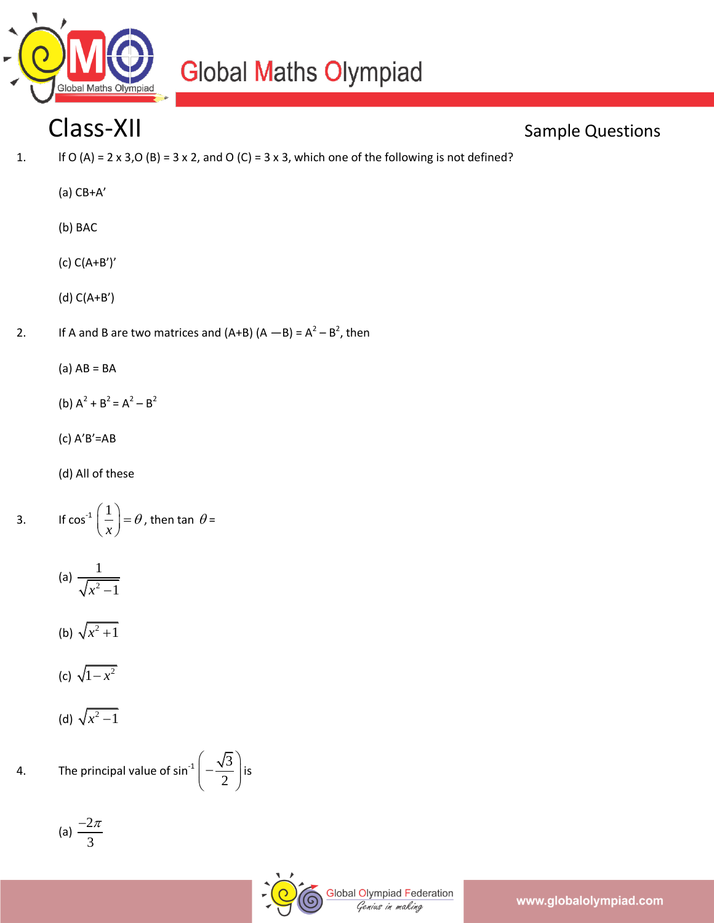

## Class-XII Sample Questions

- 1. If O (A) =  $2 \times 3$ ,O (B) =  $3 \times 2$ , and O (C) =  $3 \times 3$ , which one of the following is not defined?
	- (a) CB+A'
	- (b) BAC
	- (c) C(A+B')'
	- (d) C(A+B')
- 2. If A and B are two matrices and  $(A+B)(A-B) = A^2 B^2$ , then
	- $(a) AB = BA$
	- (b)  $A^2 + B^2 = A^2 B^2$
	- (c) A'B'=AB
	- (d) All of these
- 3. If  $cos^{-1}$   $\left( \frac{1}{2} \right)$ *x*  $\left(\frac{1}{x}\right) = \theta$ , then tan  $\theta$ =
	- (a)  $\frac{1}{\sqrt{x^2}}$ 1  $x^2 - 1$
	- (b)  $\sqrt{x^2 + 1}$
	- (c)  $\sqrt{1-x^2}$
	- (d)  $\sqrt{x^2 1}$
- 4. The principal value of sin<sup>-1</sup>  $\left(-\frac{\sqrt{3}}{2}\right)$  $\left(-\frac{\sqrt{3}}{2}\right)$  $\begin{pmatrix} 2 \end{pmatrix}$ is

(a) 
$$
\frac{-2\pi}{3}
$$

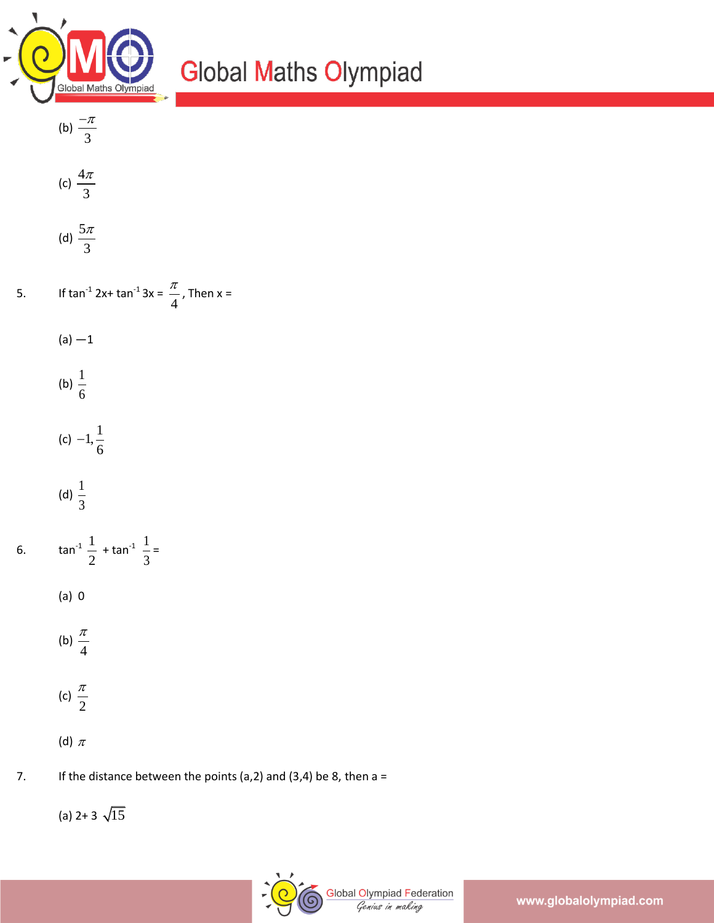

$$
(b) \frac{-\pi}{3}
$$

$$
(c) \frac{4\pi}{3}
$$

$$
\text{(d)}\ \frac{5\pi}{3}
$$

5. If  $\tan^{-1} 2x + \tan^{-1} 3x =$ 4  $\frac{\pi}{4}$ , Then x =

$$
(a) -1
$$

$$
(b) \frac{1}{6}
$$

(c) 
$$
-1, \frac{1}{6}
$$

$$
\text{(d)}\ \frac{1}{3}
$$

- 6.  $\tan^{-1} \frac{1}{2}$ 2 + tan<sup>-1</sup>  $\frac{1}{2}$ 3 =
	- (a) 0

(b) 
$$
\frac{\pi}{4}
$$

(c) 
$$
\frac{\pi}{2}
$$

(d)  $\pi$ 

7. If the distance between the points (a, 2) and (3, 4) be 8, then  $a =$ 

(a)  $2+3\sqrt{15}$ 

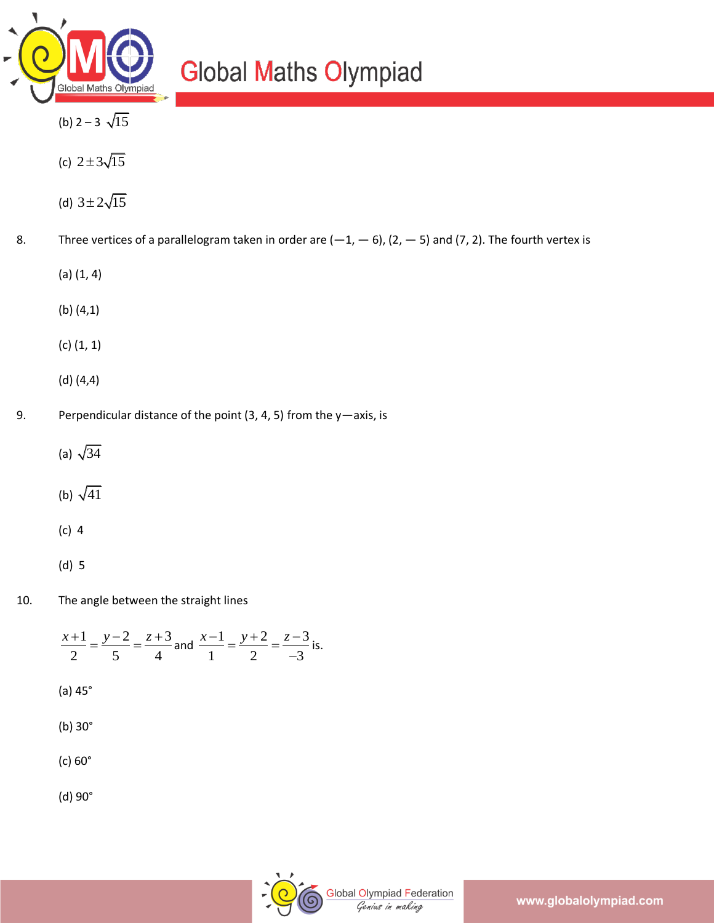

## **Global Maths Olympiad**

- (b)  $2 3\sqrt{15}$
- (c)  $2 \pm 3\sqrt{15}$
- (d)  $3 \pm 2\sqrt{15}$
- 8. Three vertices of a parallelogram taken in order are  $(-1, -6)$ ,  $(2, -5)$  and  $(7, 2)$ . The fourth vertex is
	- (a) (1, 4)
	- (b) (4,1)
	- (c) (1, 1)
	- (d) (4,4)
- 9. Perpendicular distance of the point  $(3, 4, 5)$  from the  $y$ -axis, is
	- (a) 34
	- (b)  $\sqrt{41}$
	- (c) 4
	- (d) 5
- 10. The angle between the straight lines

$$
\frac{x+1}{2} = \frac{y-2}{5} = \frac{z+3}{4} \text{ and } \frac{x-1}{1} = \frac{y+2}{2} = \frac{z-3}{-3} \text{ is.}
$$
  
(a) 45°  
(b) 30°  
(c) 60°  
(d) 90°

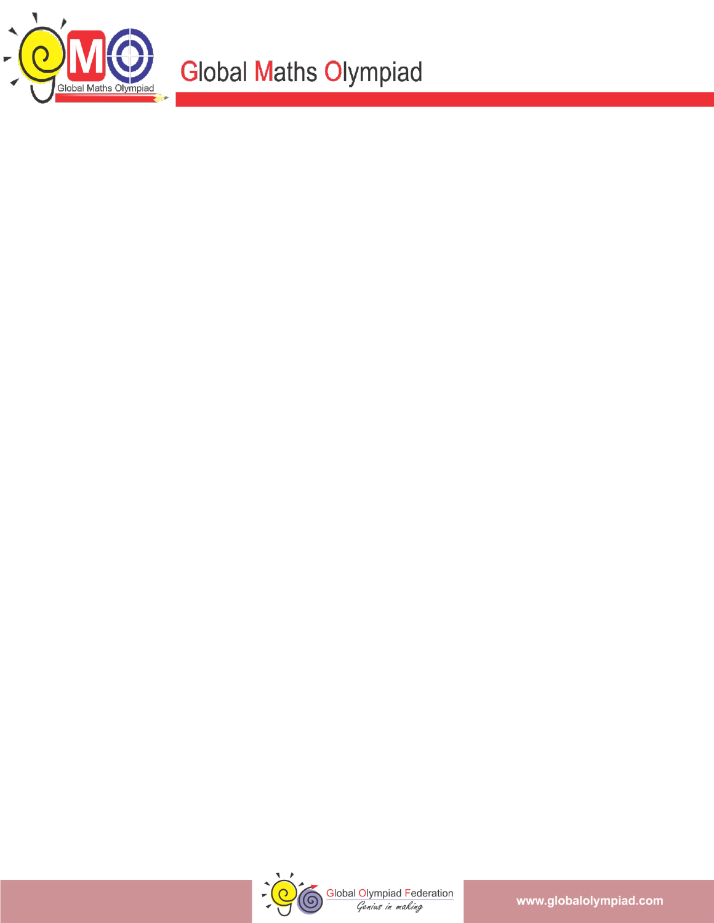

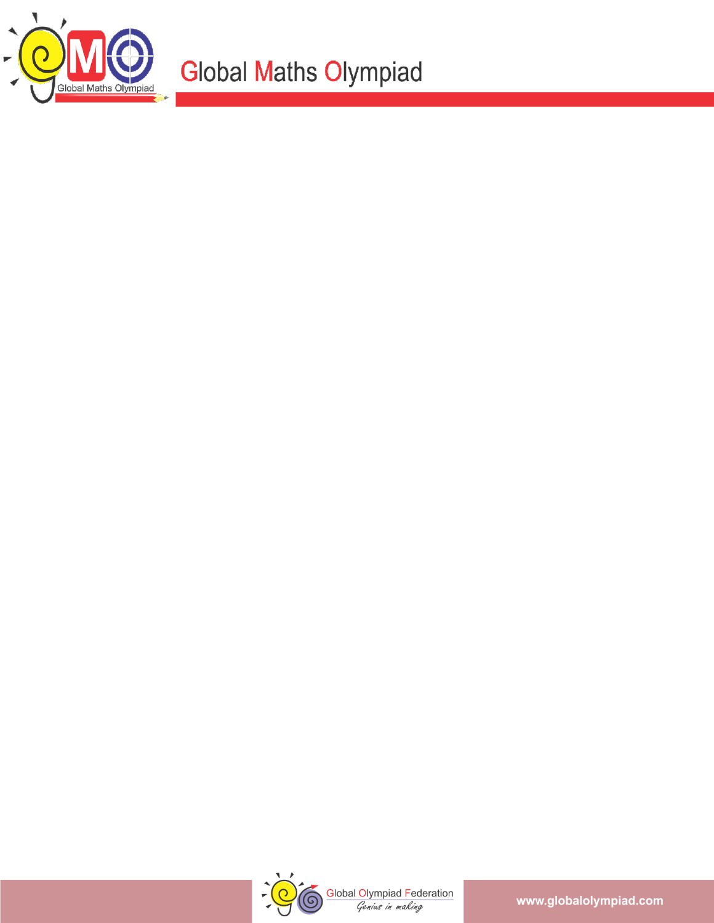

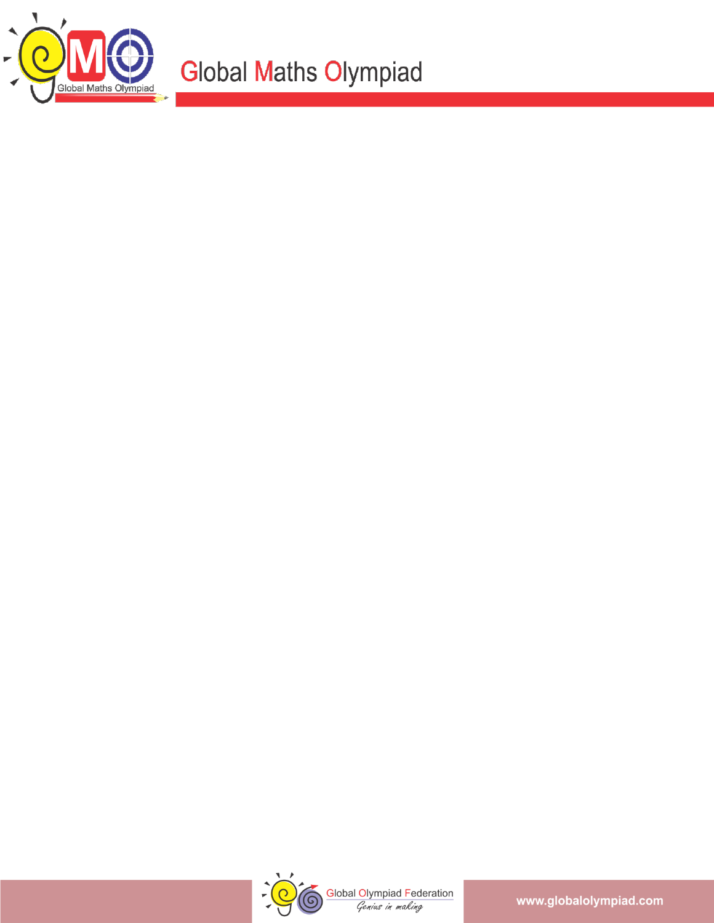